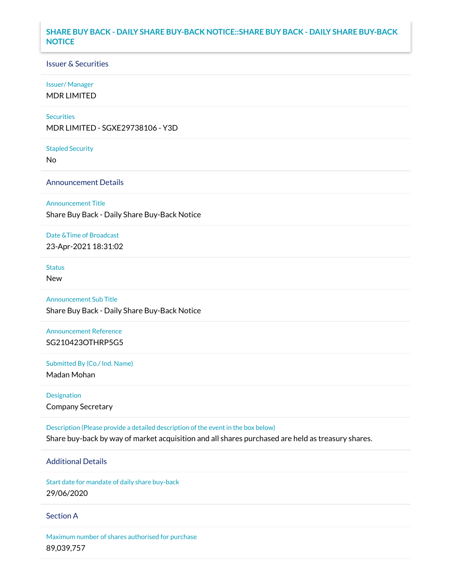## **SHARE BUY BACK - DAILY SHARE BUY-BACK NOTICE::SHARE BUY BACK - DAILY SHARE BUY-BACK NOTICE**

### Issuer & Securities

### Issuer/ Manager

MDR LIMITED

### **Securities**

MDR LIMITED - SGXE29738106 - Y3D

#### Stapled Security

No

### Announcement Details

Announcement Title

Share Buy Back - Daily Share Buy-Back Notice

### Date &Time of Broadcast

23-Apr-2021 18:31:02

## **Status**

New

# Announcement Sub Title

Share Buy Back - Daily Share Buy-Back Notice

## Announcement Reference SG210423OTHRP5G5

Submitted By (Co./ Ind. Name)

Madan Mohan

Designation Company Secretary

Description (Please provide a detailed description of the event in the box below) Share buy-back by way of market acquisition and all shares purchased are held as treasury shares.

## Additional Details

Start date for mandate of daily share buy-back 29/06/2020

### Section A

Maximum number of shares authorised for purchase 89,039,757